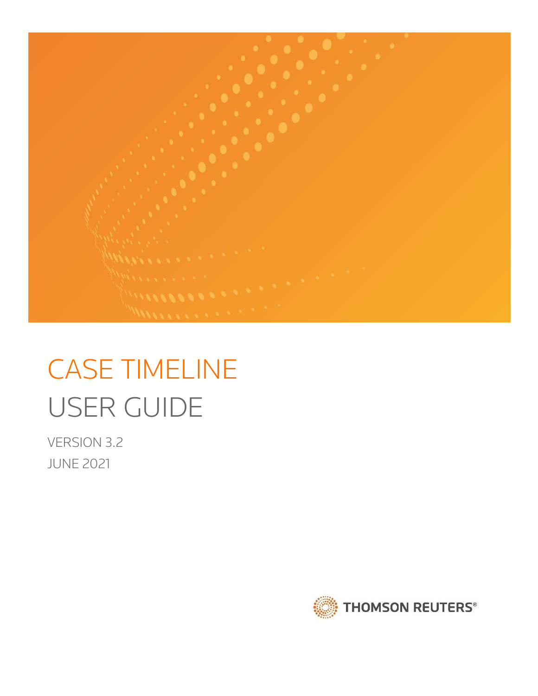

# CASE TIMELINE USER GUIDE

VERSION 3.2 JUNE 2021

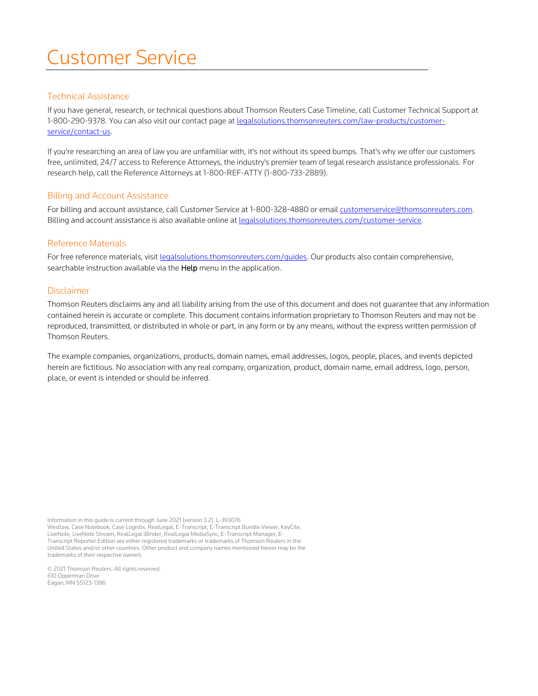# Customer Service

# Technical Assistance

If you have general, research, or technical questions about Thomson Reuters Case Timeline, call Customer Technical Support at 1-800-290-9378. You can also visit our contact page a[t legalsolutions.thomsonreuters.com/law-products/customer](http://legalsolutions.thomsonreuters.com/law-products/customer-service/contact-us)[service/contact-us.](http://legalsolutions.thomsonreuters.com/law-products/customer-service/contact-us)

If you're researching an area of law you are unfamiliar with, it's not without its speed bumps. That's why we offer our customers free, unlimited, 24/7 access to Reference Attorneys, the industry's premier team of legal research assistance professionals. For research help, call the Reference Attorneys at 1-800-REF-ATTY (1-800-733-2889).

### Billing and Account Assistance

For billing and account assistance, call Customer Service at 1-800-328-4880 or email [customerservice@thomsonreuters.com.](mailto:customerservice@thomsonreuters.com) Billing and account assistance is also available online at [legalsolutions.thomsonreuters.com/customer-service.](http://legalsolutions.thomsonreuters.com/law-products/customer-service)

### Reference Materials

For free reference materials, visit [legalsolutions.thomsonreuters.com/guides.](http://legalsolutions.thomsonreuters.com/law-products/product-support/user-guides) Our products also contain comprehensive, searchable instruction available via the Help menu in the application.

#### Disclaimer

Thomson Reuters disclaims any and all liability arising from the use of this document and does not guarantee that any information contained herein is accurate or complete. This document contains information proprietary to Thomson Reuters and may not be reproduced, transmitted, or distributed in whole or part, in any form or by any means, without the express written permission of Thomson Reuters.

The example companies, organizations, products, domain names, email addresses, logos, people, places, and events depicted herein are fictitious. No association with any real company, organization, product, domain name, email address, logo, person, place, or event is intended or should be inferred.

Information in this guide is current through June 2021 (version 3.2). L-393076 Westlaw, Case Notebook, Case Logistix, RealLegal, E-Transcript, E-Transcript Bundle Viewer, KeyCite, LiveNote, LiveNote Stream, RealLegal iBinder, RealLegal MediaSync, E-Transcript Manager, E-Transcript Reporter Edition are either registered trademarks or trademarks of Thomson Reuters in the United States and/or other countries. Other product and company names mentioned herein may be the trademarks of their respective owners.

© 2021 Thomson Reuters. All rights reserved. 610 Opperman Drive Eagan, MN 55123-1396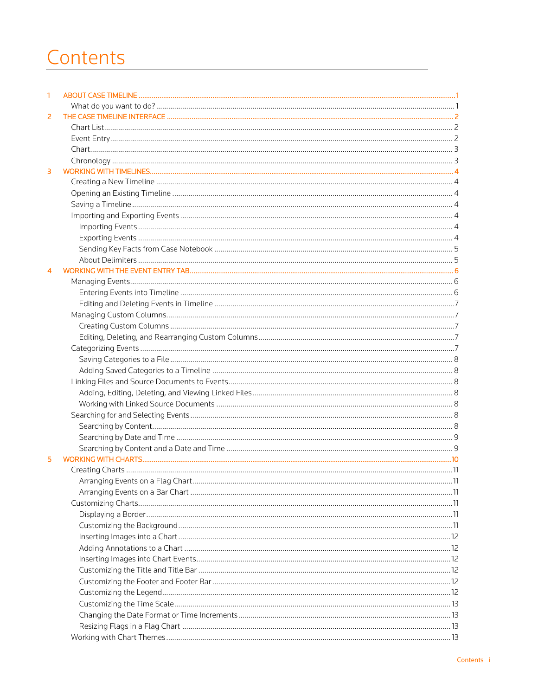# Contents

| 1 |      |
|---|------|
|   |      |
| 2 |      |
|   |      |
|   |      |
|   |      |
|   |      |
| 3 |      |
|   |      |
|   |      |
|   |      |
|   |      |
|   |      |
|   |      |
|   |      |
|   |      |
|   |      |
|   |      |
|   |      |
|   |      |
|   |      |
|   |      |
|   |      |
|   |      |
|   |      |
|   |      |
|   |      |
|   |      |
|   |      |
|   |      |
|   |      |
|   |      |
|   |      |
|   |      |
| 5 |      |
|   |      |
|   | . 11 |
|   |      |
|   |      |
|   |      |
|   |      |
|   |      |
|   |      |
|   |      |
|   |      |
|   |      |
|   |      |
|   |      |
|   |      |
|   |      |
|   |      |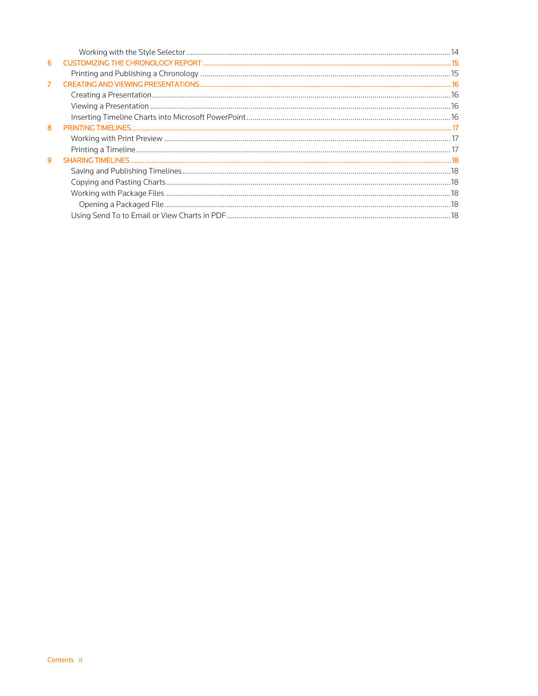| 6 |  |
|---|--|
|   |  |
| 7 |  |
|   |  |
|   |  |
|   |  |
| 8 |  |
|   |  |
|   |  |
| 9 |  |
|   |  |
|   |  |
|   |  |
|   |  |
|   |  |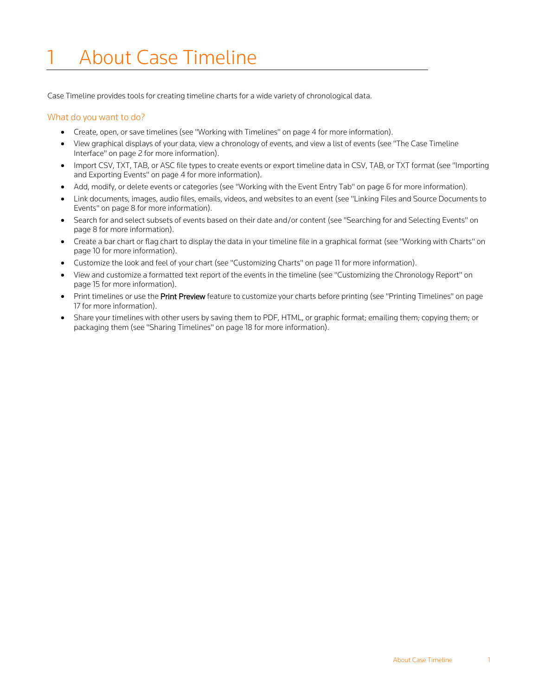# <span id="page-5-0"></span>**About Case Timeline**

Case Timeline provides tools for creating timeline charts for a wide variety of chronological data.

### <span id="page-5-1"></span>What do you want to do?

- Create, open, or save timelines (see "Working with Timelines" on page [4](#page-8-0) for more information).
- View graphical displays of your data, view a chronology of events, and view a list of events (see "The Case Timeline Interface" on page [2](#page-6-0) for more information).
- Import CSV, TXT, TAB, or ASC file types to create events or export timeline data in CSV, TAB, or TXT format (see "Importing and Exporting Events" on pag[e 4](#page-8-4) for more information).
- Add, modify, or delete events or categories (see "Working with the Event Entry Tab" on pag[e 6](#page-10-0) for more information).
- Link documents, images, audio files, emails, videos, and websites to an event (see "Linking Files and Source Documents to Events" on page [8](#page-12-2) for more information).
- Search for and select subsets of events based on their date and/or content (see "Searching for and Selecting Events" on pag[e 8](#page-12-5) for more information).
- Create a bar chart or flag chart to display the data in your timeline file in a graphical format (see "Working with Charts" on pag[e 10](#page-14-0) for more information).
- Customize the look and feel of your chart (see "Customizing Charts" on page [11](#page-15-3) for more information).
- View and customize a formatted text report of the events in the timeline (see "Customizing the Chronology Report" on pag[e 15](#page-19-0) for more information).
- Print timelines or use the Print Preview feature to customize your charts before printing (see "Printing Timelines" on page [17](#page-21-0) for more information).
- Share your timelines with other users by saving them to PDF, HTML, or graphic format; emailing them; copying them; or packaging them (see "Sharing Timelines" on page [18](#page-22-0) for more information).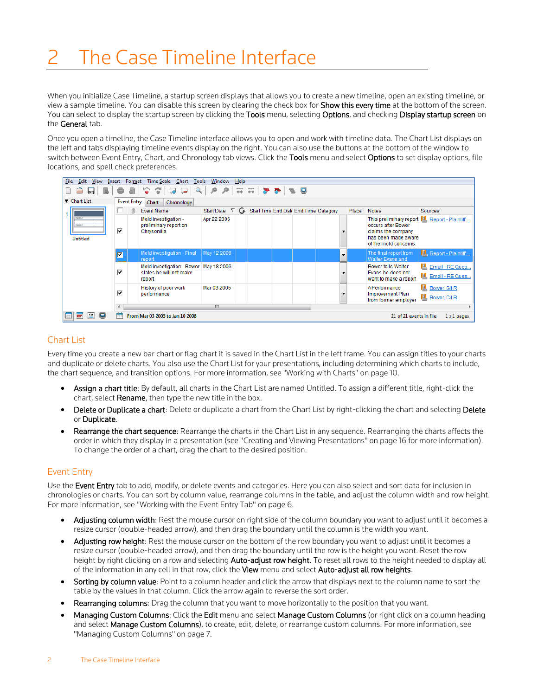# <span id="page-6-0"></span>The Case Timeline Interface

When you initialize Case Timeline, a startup screen displays that allows you to create a new timeline, open an existing timeline, or view a sample timeline. You can disable this screen by clearing the check box for Show this every time at the bottom of the screen. You can select to display the startup screen by clicking the Tools menu, selecting Options, and checking Display startup screen on the General tab.

Once you open a timeline, the Case Timeline interface allows you to open and work with timeline data. The Chart List displays on the left and tabs displaying timeline events display on the right. You can also use the buttons at the bottom of the window to switch between Event Entry, Chart, and Chronology tab views. Click the Tools menu and select Options to set display options, file locations, and spell check preferences.

|                                                                                                         | Edit<br><b>Time Scale</b><br>Window<br>File<br>View<br>Chart Tools<br>Format<br>Help<br>Insert                             |                                           |  |                                                                               |                                                      |  |  |  |  |  |         |       |                                                                                                                     |                                             |
|---------------------------------------------------------------------------------------------------------|----------------------------------------------------------------------------------------------------------------------------|-------------------------------------------|--|-------------------------------------------------------------------------------|------------------------------------------------------|--|--|--|--|--|---------|-------|---------------------------------------------------------------------------------------------------------------------|---------------------------------------------|
| P.<br>G.<br>Q<br>$\mathcal{P}$<br>۹<br>等第一<br>$\bullet$ $\bullet$<br>19. Q<br>r<br>$\Box$<br>لىرا<br>ہا |                                                                                                                            |                                           |  |                                                                               |                                                      |  |  |  |  |  |         |       |                                                                                                                     |                                             |
|                                                                                                         | Chart List                                                                                                                 | <b>Event Entry</b><br>Chart<br>Chronology |  |                                                                               |                                                      |  |  |  |  |  |         |       |                                                                                                                     |                                             |
|                                                                                                         |                                                                                                                            |                                           |  | Event Name                                                                    | Start Date ∇ G Start Time End Date End Time Category |  |  |  |  |  |         | Place | <b>Notes</b>                                                                                                        | Sources                                     |
|                                                                                                         | 000100<br>000190<br><b>Untitled</b>                                                                                        | ⊽                                         |  | Mold investigation -<br>preliminary report on<br>Chrysonilia                  | Apr 22 2006                                          |  |  |  |  |  |         |       | This preliminary report<br>occurs after Bower<br>claims the company<br>has been made aware<br>of the mold concerns. | Report - Plaintiff                          |
|                                                                                                         |                                                                                                                            | ⊽                                         |  | Mold investigation - Final<br>report                                          | May 12 2006                                          |  |  |  |  |  | $\cdot$ |       | The final report from<br>Walter Evans and                                                                           | Report - Plaintiff                          |
|                                                                                                         |                                                                                                                            | ⊽                                         |  | Mold investigation - Bower   May 18 2006<br>states he will not make<br>report |                                                      |  |  |  |  |  |         |       | <b>Bower tells Walter</b><br>Evans he does not<br>want to make a report                                             | E. Email - RE Ques<br>Email - RE Ques       |
|                                                                                                         |                                                                                                                            | ⊽                                         |  | History of poor work<br>performance                                           | Mar 03 2005                                          |  |  |  |  |  |         |       | <b>A Performance</b><br><b>Improvement Plan</b><br>from former employer                                             | <b>Bower</b> , Gil R<br><b>Bower, Gil R</b> |
|                                                                                                         | m.<br>$\epsilon$                                                                                                           |                                           |  |                                                                               |                                                      |  |  |  |  |  |         |       |                                                                                                                     |                                             |
| $\boxed{\Xi}$                                                                                           | $\frac{12}{11}$<br>$\blacksquare$<br>پ<br>From Mar 03 2005 to Jan 10 2008<br>21 of 21 events in file<br>$1 \times 1$ pages |                                           |  |                                                                               |                                                      |  |  |  |  |  |         |       |                                                                                                                     |                                             |

# <span id="page-6-1"></span>Chart List

Every time you create a new bar chart or flag chart it is saved in the Chart List in the left frame. You can assign titles to your charts and duplicate or delete charts. You also use the Chart List for your presentations, including determining which charts to include, the chart sequence, and transition options. For more information, see "Working with Charts" on pag[e 10.](#page-14-0)

- Assign a chart title: By default, all charts in the Chart List are named Untitled. To assign a different title, right-click the chart, select Rename, then type the new title in the box.
- Delete or Duplicate a chart: Delete or duplicate a chart from the Chart List by right-clicking the chart and selecting Delete or Duplicate.
- Rearrange the chart sequence: Rearrange the charts in the Chart List in any sequence. Rearranging the charts affects the order in which they display in a presentation (see "Creating and Viewing Presentations" on page [16](#page-20-0) for more information). To change the order of a chart, drag the chart to the desired position.

# <span id="page-6-2"></span>Event Entry

Use the Event Entry tab to add, modify, or delete events and categories. Here you can also select and sort data for inclusion in chronologies or charts. You can sort by column value, rearrange columns in the table, and adjust the column width and row height. For more information, see "Working with the Event Entry Tab" on page [6.](#page-10-0)

- Adjusting column width: Rest the mouse cursor on right side of the column boundary you want to adjust until it becomes a resize cursor (double-headed arrow), and then drag the boundary until the column is the width you want.
- Adjusting row height: Rest the mouse cursor on the bottom of the row boundary you want to adjust until it becomes a resize cursor (double-headed arrow), and then drag the boundary until the row is the height you want. Reset the row height by right clicking on a row and selecting Auto-adjust row height. To reset all rows to the height needed to display all of the information in any cell in that row, click the View menu and select Auto-adjust all row heights.
- Sorting by column value: Point to a column header and click the arrow that displays next to the column name to sort the table by the values in that column. Click the arrow again to reverse the sort order.
- Rearranging columns: Drag the column that you want to move horizontally to the position that you want.
- Managing Custom Columns: Click the Edit menu and select Manage Custom Columns (or right click on a column heading and select Manage Custom Columns), to create, edit, delete, or rearrange custom columns. For more information, see "Managing Custom Columns" on page [7.](#page-11-1)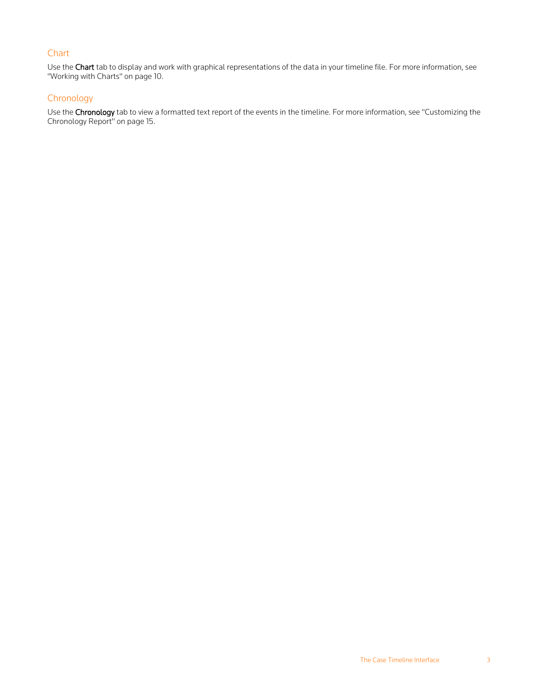# <span id="page-7-0"></span>**Chart**

Use the Chart tab to display and work with graphical representations of the data in your timeline file. For more information, see "Working with Charts" on page [10.](#page-14-0)

# <span id="page-7-1"></span>Chronology

Use the Chronology tab to view a formatted text report of the events in the timeline. For more information, see "Customizing the Chronology Report" on pag[e 15.](#page-19-0)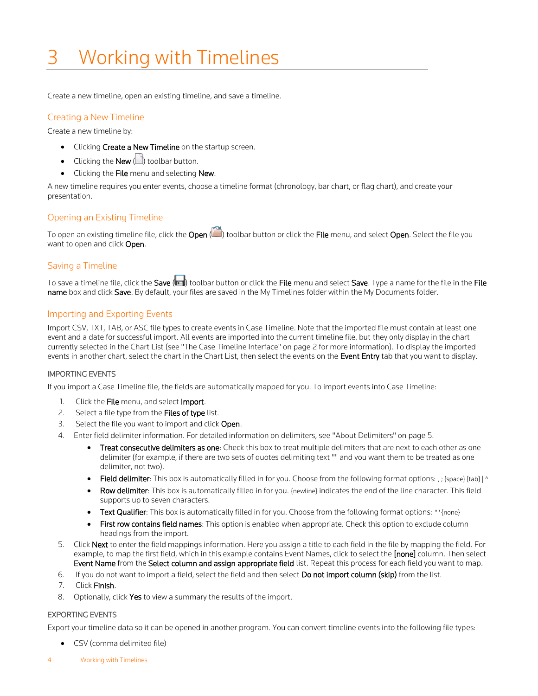# <span id="page-8-0"></span>3 Working with Timelines

Create a new timeline, open an existing timeline, and save a timeline.

### <span id="page-8-1"></span>Creating a New Timeline

Create a new timeline by:

- Clicking Create a New Timeline on the startup screen.
- Clicking the **New**  $\Box$  toolbar button.
- Clicking the File menu and selecting New.

A new timeline requires you enter events, choose a timeline format (chronology, bar chart, or flag chart), and create your presentation.

# <span id="page-8-2"></span>Opening an Existing Timeline

To open an existing timeline file, click the Open (i) toolbar button or click the File menu, and select Open. Select the file you want to open and click Open.

# <span id="page-8-3"></span>Saving a Timeline

To save a timeline file, click the Save (**ITE**) toolbar button or click the File menu and select Save. Type a name for the file in the File name box and click Save. By default, your files are saved in the My Timelines folder within the My Documents folder.

### <span id="page-8-4"></span>Importing and Exporting Events

Import CSV, TXT, TAB, or ASC file types to create events in Case Timeline. Note that the imported file must contain at least one event and a date for successful import. All events are imported into the current timeline file, but they only display in the chart currently selected in the Chart List (see "The Case Timeline Interface" on page [2](#page-6-0) for more information). To display the imported events in another chart, select the chart in the Chart List, then select the events on the Event Entry tab that you want to display.

#### <span id="page-8-5"></span>IMPORTING EVENTS

If you import a Case Timeline file, the fields are automatically mapped for you. To import events into Case Timeline:

- 1. Click the File menu, and select Import.
- 2. Select a file type from the Files of type list.
- 3. Select the file you want to import and click Open.
- 4. Enter field delimiter information. For detailed information on delimiters, see "About Delimiters" on pag[e 5.](#page-9-1)
	- Treat consecutive delimiters as one: Check this box to treat multiple delimiters that are next to each other as one delimiter (for example, if there are two sets of quotes delimiting text "" and you want them to be treated as one delimiter, not two).
	- Field delimiter: This box is automatically filled in for you. Choose from the following format options: , ; {space} {tab} | ^
	- Row delimiter: This box is automatically filled in for you. {newline} indicates the end of the line character. This field supports up to seven characters.
	- Text Qualifier: This box is automatically filled in for you. Choose from the following format options: "' {none}
	- **First row contains field names:** This option is enabled when appropriate. Check this option to exclude column headings from the import.
- 5. Click Next to enter the field mappings information. Here you assign a title to each field in the file by mapping the field. For example, to map the first field, which in this example contains Event Names, click to select the [none] column. Then select Event Name from the Select column and assign appropriate field list. Repeat this process for each field you want to map.
- 6. If you do not want to import a field, select the field and then select Do not import column (skip) from the list.
- 7. Click Finish.
- 8. Optionally, click Yes to view a summary the results of the import.

#### <span id="page-8-6"></span>EXPORTING EVENTS

Export your timeline data so it can be opened in another program. You can convert timeline events into the following file types:

- CSV (comma delimited file)
- 4 Working with Timelines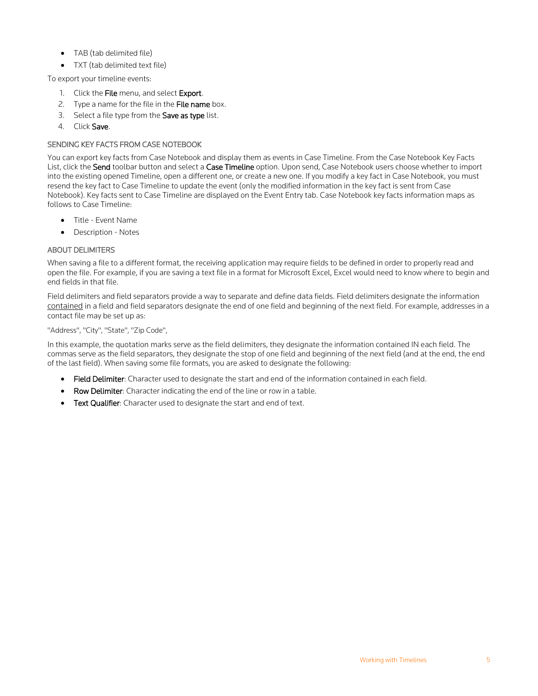- TAB (tab delimited file)
- TXT (tab delimited text file)

To export your timeline events:

- 1. Click the File menu, and select Export.
- 2. Type a name for the file in the File name box.
- 3. Select a file type from the Save as type list.
- 4. Click Save.

### <span id="page-9-0"></span>SENDING KEY FACTS FROM CASE NOTEBOOK

You can export key facts from Case Notebook and display them as events in Case Timeline. From the Case Notebook Key Facts List, click the Send toolbar button and select a Case Timeline option. Upon send, Case Notebook users choose whether to import into the existing opened Timeline, open a different one, or create a new one. If you modify a key fact in Case Notebook, you must resend the key fact to Case Timeline to update the event (only the modified information in the key fact is sent from Case Notebook). Key facts sent to Case Timeline are displayed on the Event Entry tab. Case Notebook key facts information maps as follows to Case Timeline:

- Title Event Name
- Description Notes

### <span id="page-9-1"></span>ABOUT DELIMITERS

When saving a file to a different format, the receiving application may require fields to be defined in order to properly read and open the file. For example, if you are saving a text file in a format for Microsoft Excel, Excel would need to know where to begin and end fields in that file.

Field delimiters and field separators provide a way to separate and define data fields. Field delimiters designate the information contained in a field and field separators designate the end of one field and beginning of the next field. For example, addresses in a contact file may be set up as:

#### "Address", "City", "State", "Zip Code",

In this example, the quotation marks serve as the field delimiters, they designate the information contained IN each field. The commas serve as the field separators, they designate the stop of one field and beginning of the next field (and at the end, the end of the last field). When saving some file formats, you are asked to designate the following:

- Field Delimiter: Character used to designate the start and end of the information contained in each field.
- Row Delimiter: Character indicating the end of the line or row in a table.
- Text Qualifier: Character used to designate the start and end of text.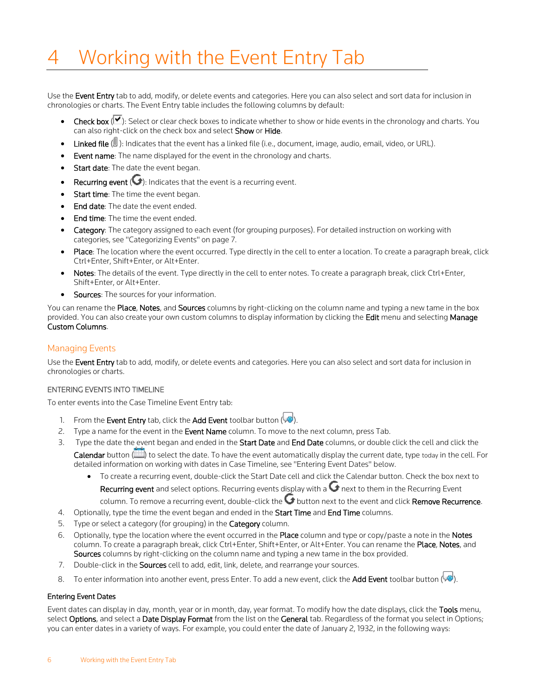# <span id="page-10-0"></span>Working with the Event Entry Tab

Use the Event Entry tab to add, modify, or delete events and categories. Here you can also select and sort data for inclusion in chronologies or charts. The Event Entry table includes the following columns by default:

- **Check box**  $(\vee)$ : Select or clear check boxes to indicate whether to show or hide events in the chronology and charts. You can also right-click on the check box and select Show or Hide.
- **Linked file**  $(\mathbb{U})$ : Indicates that the event has a linked file (i.e., document, image, audio, email, video, or URL).
- Event name: The name displayed for the event in the chronology and charts.
- Start date: The date the event began.
- Recurring event  $\left( \bigodot \right)$ : Indicates that the event is a recurring event.
- Start time: The time the event began.
- **End date:** The date the event ended.
- End time: The time the event ended.
- Category: The category assigned to each event (for grouping purposes). For detailed instruction on working with categories, see "Categorizing Events" on page [7.](#page-11-4)
- Place: The location where the event occurred. Type directly in the cell to enter a location. To create a paragraph break, click Ctrl+Enter, Shift+Enter, or Alt+Enter.
- Notes: The details of the event. Type directly in the cell to enter notes. To create a paragraph break, click Ctrl+Enter, Shift+Enter, or Alt+Enter.
- Sources: The sources for your information.

You can rename the Place, Notes, and Sources columns by right-clicking on the column name and typing a new tame in the box provided. You can also create your own custom columns to display information by clicking the Edit menu and selecting Manage Custom Columns.

### <span id="page-10-1"></span>Managing Events

Use the Event Entry tab to add, modify, or delete events and categories. Here you can also select and sort data for inclusion in chronologies or charts.

#### <span id="page-10-2"></span>ENTERING EVENTS INTO TIMELINE

To enter events into the Case Timeline Event Entry tab:

- 1. From the Event Entry tab, click the Add Event toolbar button  $\langle \downarrow \bullet \rangle$ .
- 2. Type a name for the event in the Event Name column. To move to the next column, press Tab.
- 3. Type the date the event began and ended in the Start Date and End Date columns, or double click the cell and click the Calendar button ( $\Box$ ) to select the date. To have the event automatically display the current date, type today in the cell. For detailed information on working with dates in Case Timeline, see "Entering Event Dates" below.
	- To create a recurring event, double-click the Start Date cell and click the Calendar button. Check the box next to Recurring event and select options. Recurring events display with a  $\bigodot$  next to them in the Recurring Event

column. To remove a recurring event, double-click the  $\bigcirc$  button next to the event and click Remove Recurrence.

- 4. Optionally, type the time the event began and ended in the Start Time and End Time columns.
- 5. Type or select a category (for grouping) in the **Category** column.
- 6. Optionally, type the location where the event occurred in the Place column and type or copy/paste a note in the Notes column. To create a paragraph break, click Ctrl+Enter, Shift+Enter, or Alt+Enter. You can rename the Place, Notes, and Sources columns by right-clicking on the column name and typing a new tame in the box provided.
- 7. Double-click in the **Sources** cell to add, edit, link, delete, and rearrange your sources.
- 8. To enter information into another event, press Enter. To add a new event, click the Add Event toolbar button ( $\blacklozenge$ ).

#### Entering Event Dates

Event dates can display in day, month, year or in month, day, year format. To modify how the date displays, click the Tools menu, select Options, and select a Date Display Format from the list on the General tab. Regardless of the format you select in Options; you can enter dates in a variety of ways. For example, you could enter the date of January 2, 1932, in the following ways: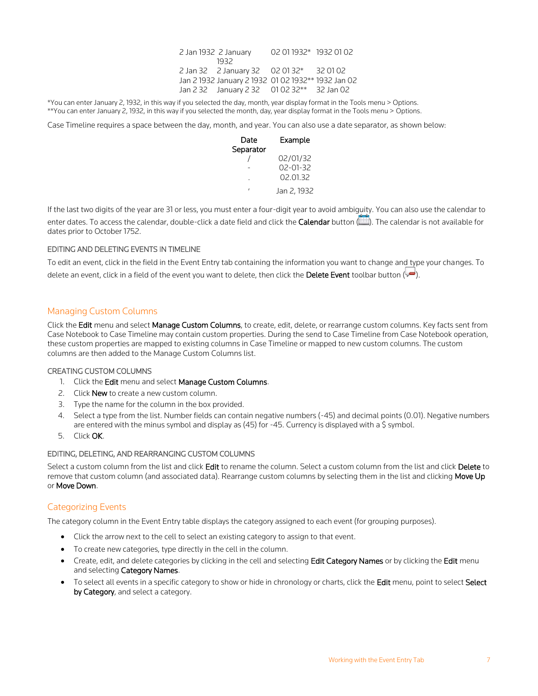| 2 Jan 1932 2 January                                | 02 01 1932* 1932 01 02 |  |
|-----------------------------------------------------|------------------------|--|
| 1932                                                |                        |  |
| 2 Jan 32 2 January 32 02 01 32* 32 01 02            |                        |  |
| Jan 2 1932 January 2 1932 01 02 1932 ** 1932 Jan 02 |                        |  |
| Jan 2 32 January 2 32 01 02 32** 32 Jan 02          |                        |  |

\*You can enter January 2, 1932, in this way if you selected the day, month, year display format in the Tools menu > Options. \*\*You can enter January 2, 1932, in this way if you selected the month, day, year display format in the Tools menu > Options.

Case Timeline requires a space between the day, month, and year. You can also use a date separator, as shown below:

| Date      | Example        |
|-----------|----------------|
| Separator |                |
|           | 02/01/32       |
|           | $02 - 01 - 32$ |
|           | 02.01.32       |
|           | Jan 2, 1932    |

If the last two digits of the year are 31 or less, you must enter a four-digit year to avoid ambiguity. You can also use the calendar to enter dates. To access the calendar, double-click a date field and click the Calendar button (...). The calendar is not available for dates prior to October 1752.

#### <span id="page-11-0"></span>EDITING AND DELETING EVENTS IN TIMELINE

To edit an event, click in the field in the Event Entry tab containing the information you want to change and type your changes. To delete an event, click in a field of the event you want to delete, then click the Delete Event toolbar button  $\langle \blacklozenge \rangle$ .

#### <span id="page-11-1"></span>Managing Custom Columns

Click the Edit menu and select Manage Custom Columns, to create, edit, delete, or rearrange custom columns. Key facts sent from Case Notebook to Case Timeline may contain custom properties. During the send to Case Timeline from Case Notebook operation, these custom properties are mapped to existing columns in Case Timeline or mapped to new custom columns. The custom columns are then added to the Manage Custom Columns list.

#### <span id="page-11-2"></span>CREATING CUSTOM COLUMNS

- 1. Click the Edit menu and select Manage Custom Columns.
- 2. Click New to create a new custom column.
- 3. Type the name for the column in the box provided.
- 4. Select a type from the list. Number fields can contain negative numbers (-45) and decimal points (0.01). Negative numbers are entered with the minus symbol and display as (45) for -45. Currency is displayed with a \$ symbol.
- 5. Click OK.

#### <span id="page-11-3"></span>EDITING, DELETING, AND REARRANGING CUSTOM COLUMNS

Select a custom column from the list and click Edit to rename the column. Select a custom column from the list and click Delete to remove that custom column (and associated data). Rearrange custom columns by selecting them in the list and clicking Move Up or Move Down.

#### <span id="page-11-4"></span>Categorizing Events

The category column in the Event Entry table displays the category assigned to each event (for grouping purposes).

- Click the arrow next to the cell to select an existing category to assign to that event.
- To create new categories, type directly in the cell in the column.
- Create, edit, and delete categories by clicking in the cell and selecting Edit Category Names or by clicking the Edit menu and selecting Category Names.
- To select all events in a specific category to show or hide in chronology or charts, click the Edit menu, point to select Select by Category, and select a category.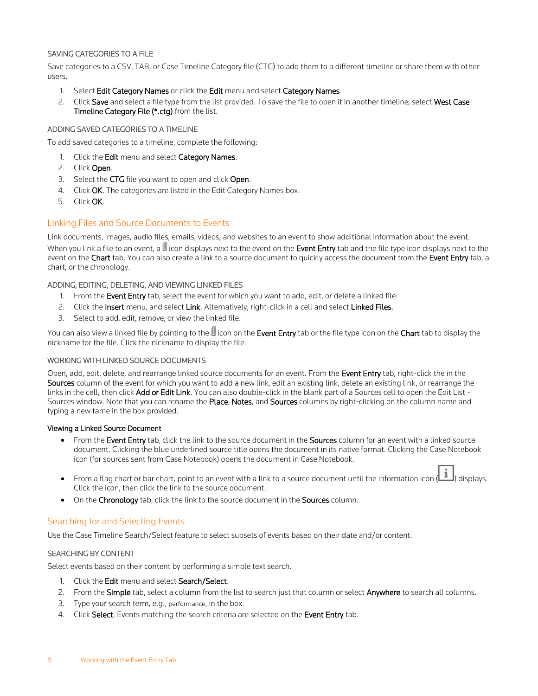#### <span id="page-12-0"></span>SAVING CATEGORIES TO A FILE

Save categories to a CSV, TAB, or Case Timeline Category file (CTG) to add them to a different timeline or share them with other users.

- 1. Select Edit Category Names or click the Edit menu and select Category Names.
- 2. Click Save and select a file type from the list provided. To save the file to open it in another timeline, select West Case Timeline Category File (\*.ctg) from the list.

#### <span id="page-12-1"></span>ADDING SAVED CATEGORIES TO A TIMELINE

To add saved categories to a timeline, complete the following:

- 1. Click the Edit menu and select Category Names.
- 2. Click Open.
- 3. Select the CTG file you want to open and click Open.
- 4. Click OK. The categories are listed in the Edit Category Names box.
- 5. Click OK.

### <span id="page-12-2"></span>Linking Files and Source Documents to Events

Link documents, images, audio files, emails, videos, and websites to an event to show additional information about the event. When you link a file to an event, a  $\mathbb U$  icon displays next to the event on the **Event Entry** tab and the file type icon displays next to the event on the Chart tab. You can also create a link to a source document to quickly access the document from the Event Entry tab, a chart, or the chronology.

#### <span id="page-12-3"></span>ADDING, EDITING, DELETING, AND VIEWING LINKED FILES

- 1. From the Event Entry tab, select the event for which you want to add, edit, or delete a linked file.
- 2. Click the Insert menu, and select Link. Alternatively, right-click in a cell and select Linked Files.
- 3. Select to add, edit, remove, or view the linked file.

You can also view a linked file by pointing to the  $\mathbb {U}$  icon on the Event Entry tab or the file type icon on the Chart tab to display the nickname for the file. Click the nickname to display the file.

#### <span id="page-12-4"></span>WORKING WITH LINKED SOURCE DOCUMENTS

Open, add, edit, delete, and rearrange linked source documents for an event. From the Event Entry tab, right-click the in the Sources column of the event for which you want to add a new link, edit an existing link, delete an existing link, or rearrange the links in the cell; then click Add or Edit Link. You can also double-click in the blank part of a Sources cell to open the Edit List -Sources window. Note that you can rename the Place, Notes, and Sources columns by right-clicking on the column name and typing a new tame in the box provided.

#### Viewing a Linked Source Document

- From the Event Entry tab, click the link to the source document in the Sources column for an event with a linked source document. Clicking the blue underlined source title opens the document in its native format. Clicking the Case Notebook icon (for sources sent from Case Notebook) opens the document in Case Notebook.
- From a flag chart or bar chart, point to an event with a link to a source document until the information icon  $\left(\begin{array}{c} \bullet \\ \bullet \end{array}\right)$  displays. Click the icon, then click the link to the source document.
- On the Chronology tab, click the link to the source document in the Sources column.

#### <span id="page-12-5"></span>Searching for and Selecting Events

Use the Case Timeline Search/Select feature to select subsets of events based on their date and/or content.

#### <span id="page-12-6"></span>SEARCHING BY CONTENT

Select events based on their content by performing a simple text search.

- 1. Click the Edit menu and select Search/Select.
- 2. From the Simple tab, select a column from the list to search just that column or select Anywhere to search all columns.
- 3. Type your search term, e.g., performance, in the box.
- 4. Click Select. Events matching the search criteria are selected on the Event Entry tab.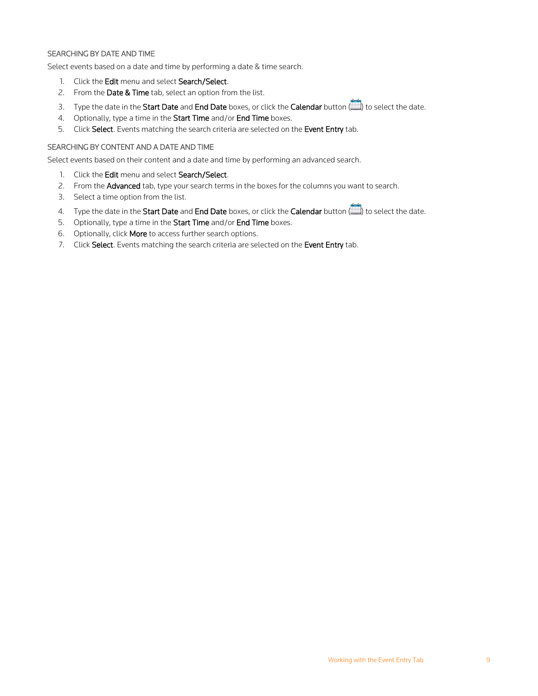#### <span id="page-13-0"></span>SEARCHING BY DATE AND TIME

Select events based on a date and time by performing a date & time search.

- 1. Click the Edit menu and select Search/Select.
- 2. From the Date & Time tab, select an option from the list.
- 3. Type the date in the Start Date and End Date boxes, or click the Calendar button ( $\Box$ ) to select the date.
- 4. Optionally, type a time in the Start Time and/or End Time boxes.
- 5. Click Select. Events matching the search criteria are selected on the Event Entry tab.

#### <span id="page-13-1"></span>SEARCHING BY CONTENT AND A DATE AND TIME

Select events based on their content and a date and time by performing an advanced search.

- 1. Click the Edit menu and select Search/Select.
- 2. From the Advanced tab, type your search terms in the boxes for the columns you want to search.
- 3. Select a time option from the list.
- 4. Type the date in the Start Date and End Date boxes, or click the Calendar button ( $\Box$ ) to select the date.
- 5. Optionally, type a time in the Start Time and/or End Time boxes.
- 6. Optionally, click More to access further search options.
- 7. Click Select. Events matching the search criteria are selected on the Event Entry tab.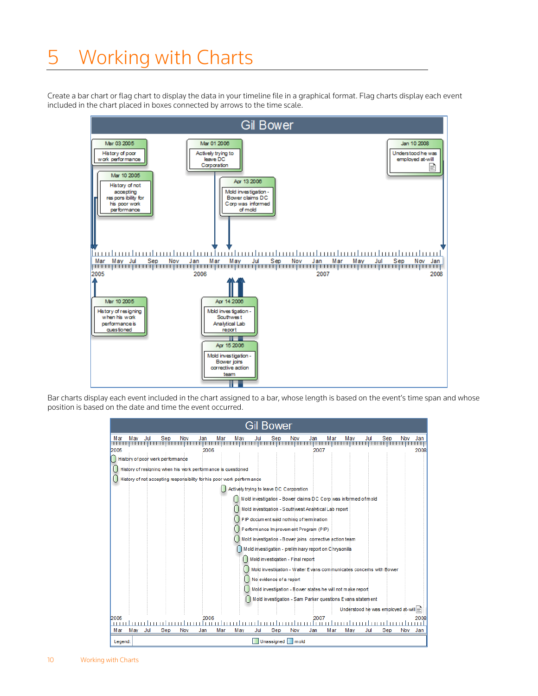# <span id="page-14-0"></span>5 Working with Charts

Create a bar chart or flag chart to display the data in your timeline file in a graphical format. Flag charts display each event included in the chart placed in boxes connected by arrows to the time scale.



Bar charts display each event included in the chart assigned to a bar, whose length is based on the event's time span and whose position is based on the date and time the event occurred.

| <b>Gil Bower</b>                                                                                                                                                                                                                                                                                                                 |
|----------------------------------------------------------------------------------------------------------------------------------------------------------------------------------------------------------------------------------------------------------------------------------------------------------------------------------|
| Jul<br>Mar<br>Mar<br>Mav<br>Sep<br>Nov<br>Mar<br>May<br>Nov<br>Mav<br>Jul<br>Sep<br>Nov<br>Jan<br>Jan<br>Jul<br>Jan<br>Seb<br>,,,,,,,,,,,,,,,,,,,,,,,,<br>.<br><b>11111</b><br><b>11 11</b><br>2005<br>2006<br>2007<br>2008<br>History of poor work perform ance<br>History of resigning when his work performance is questioned |
| History of not accepting responsibility for his poor work perform ance                                                                                                                                                                                                                                                           |
| Actively trying to leave DC Corporation                                                                                                                                                                                                                                                                                          |
| Mold investigation - Bower claims DC Corp was informed of mold                                                                                                                                                                                                                                                                   |
| Mold investigation - Southwest Analytical Lab report                                                                                                                                                                                                                                                                             |
| PIP document said nothing of termination                                                                                                                                                                                                                                                                                         |
| Performance Improvement Program (PIP)                                                                                                                                                                                                                                                                                            |
| Mold investigation - Bower joins corrective action team                                                                                                                                                                                                                                                                          |
| Mold investigation - preliminary report on Chrysonilia                                                                                                                                                                                                                                                                           |
| Mold investigation - Final report                                                                                                                                                                                                                                                                                                |
|                                                                                                                                                                                                                                                                                                                                  |
| Mold investigation - Walter E vans communicates concerns with Bower                                                                                                                                                                                                                                                              |
| No evidence of a report                                                                                                                                                                                                                                                                                                          |
| Mold investigation - Bower states he will not make report                                                                                                                                                                                                                                                                        |
| Mold investigation - Sam Parker questions E vans statement                                                                                                                                                                                                                                                                       |
| Understood he was employed at-will=                                                                                                                                                                                                                                                                                              |
| 2005<br>2006<br>2007<br>2008                                                                                                                                                                                                                                                                                                     |
| ,,,,,,,,,,,,<br>,,,,,,,,,,,<br>11111<br>шп<br>Mar<br><b>May</b><br>Jul<br>Sep<br>Nov<br>Mar<br>May<br>Sep<br>Nov<br>Mar<br>Jul<br>Sep<br>Jan<br>Jul<br>Jan<br>May<br>Nov<br>Jan                                                                                                                                                  |
| Unassigned   mold<br>Legend:                                                                                                                                                                                                                                                                                                     |

10 Working with Charts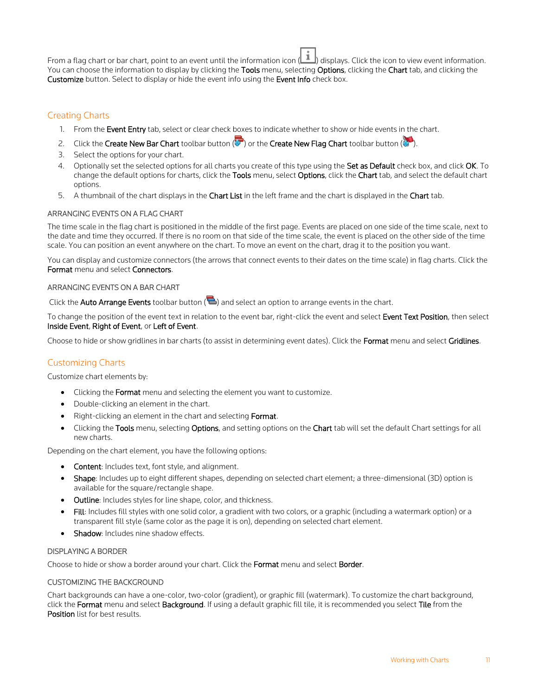From a flag chart or bar chart, point to an event until the information icon (<br>elisplays. Click the icon to view event information. You can choose the information to display by clicking the Tools menu, selecting Options, clicking the Chart tab, and clicking the Customize button. Select to display or hide the event info using the Event Info check box.

# <span id="page-15-0"></span>Creating Charts

- 1. From the Event Entry tab, select or clear check boxes to indicate whether to show or hide events in the chart.
- 2. Click the Create New Bar Chart toolbar button ( $\Box$ ) or the Create New Flag Chart toolbar button ( $\Box$ ).
- 3. Select the options for your chart.
- 4. Optionally set the selected options for all charts you create of this type using the Set as Default check box, and click OK. To change the default options for charts, click the Tools menu, select Options, click the Chart tab, and select the default chart options.
- 5. A thumbnail of the chart displays in the Chart List in the left frame and the chart is displayed in the Chart tab.

#### <span id="page-15-1"></span>ARRANGING EVENTS ON A FLAG CHART

The time scale in the flag chart is positioned in the middle of the first page. Events are placed on one side of the time scale, next to the date and time they occurred. If there is no room on that side of the time scale, the event is placed on the other side of the time scale. You can position an event anywhere on the chart. To move an event on the chart, drag it to the position you want.

You can display and customize connectors (the arrows that connect events to their dates on the time scale) in flag charts. Click the Format menu and select Connectors.

#### <span id="page-15-2"></span>ARRANGING EVENTS ON A BAR CHART

Click the **Auto Arrange Events** toolbar button ( $\blacktriangle$ ) and select an option to arrange events in the chart.

To change the position of the event text in relation to the event bar, right-click the event and select Event Text Position, then select Inside Event, Right of Event, or Left of Event.

Choose to hide or show gridlines in bar charts (to assist in determining event dates). Click the Format menu and select Gridlines.

# <span id="page-15-3"></span>Customizing Charts

Customize chart elements by:

- Clicking the Format menu and selecting the element you want to customize.
- Double-clicking an element in the chart.
- Right-clicking an element in the chart and selecting Format.
- Clicking the Tools menu, selecting Options, and setting options on the Chart tab will set the default Chart settings for all new charts.

Depending on the chart element, you have the following options:

- Content: Includes text, font style, and alignment.
- Shape: Includes up to eight different shapes, depending on selected chart element; a three-dimensional (3D) option is available for the square/rectangle shape.
- Outline: Includes styles for line shape, color, and thickness.
- Fill: Includes fill styles with one solid color, a gradient with two colors, or a graphic (including a watermark option) or a transparent fill style (same color as the page it is on), depending on selected chart element.
- Shadow: Includes nine shadow effects.

#### <span id="page-15-4"></span>DISPLAYING A BORDER

Choose to hide or show a border around your chart. Click the Format menu and select Border.

#### <span id="page-15-5"></span>CUSTOMIZING THE BACKGROUND

Chart backgrounds can have a one-color, two-color (gradient), or graphic fill (watermark). To customize the chart background, click the Format menu and select Background. If using a default graphic fill tile, it is recommended you select Tile from the Position list for best results.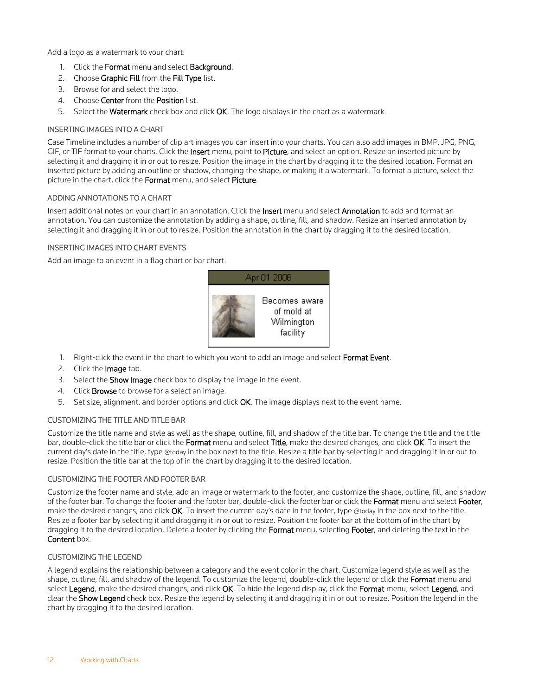Add a logo as a watermark to your chart:

- 1. Click the Format menu and select Background.
- 2. Choose Graphic Fill from the Fill Type list.
- 3. Browse for and select the logo.
- 4. Choose Center from the Position list.
- 5. Select the Watermark check box and click OK. The logo displays in the chart as a watermark.

#### <span id="page-16-0"></span>INSERTING IMAGES INTO A CHART

Case Timeline includes a number of clip art images you can insert into your charts. You can also add images in BMP, JPG, PNG, GIF, or TIF format to your charts. Click the Insert menu, point to Picture, and select an option. Resize an inserted picture by selecting it and dragging it in or out to resize. Position the image in the chart by dragging it to the desired location. Format an inserted picture by adding an outline or shadow, changing the shape, or making it a watermark. To format a picture, select the picture in the chart, click the Format menu, and select Picture.

#### <span id="page-16-1"></span>ADDING ANNOTATIONS TO A CHART

Insert additional notes on your chart in an annotation. Click the Insert menu and select Annotation to add and format an annotation. You can customize the annotation by adding a shape, outline, fill, and shadow. Resize an inserted annotation by selecting it and dragging it in or out to resize. Position the annotation in the chart by dragging it to the desired location.

#### <span id="page-16-2"></span>INSERTING IMAGES INTO CHART EVENTS

Add an image to an event in a flag chart or bar chart.



- 1. Right-click the event in the chart to which you want to add an image and select Format Event.
- 2. Click the **Image** tab.
- 3. Select the **Show Image** check box to display the image in the event.
- 4. Click **Browse** to browse for a select an image.
- 5. Set size, alignment, and border options and click OK. The image displays next to the event name.

#### <span id="page-16-3"></span>CUSTOMIZING THE TITLE AND TITLE BAR

Customize the title name and style as well as the shape, outline, fill, and shadow of the title bar. To change the title and the title bar, double-click the title bar or click the Format menu and select Title, make the desired changes, and click OK. To insert the current day's date in the title, type @today in the box next to the title. Resize a title bar by selecting it and dragging it in or out to resize. Position the title bar at the top of in the chart by dragging it to the desired location.

#### <span id="page-16-4"></span>CUSTOMIZING THE FOOTER AND FOOTER BAR

Customize the footer name and style, add an image or watermark to the footer, and customize the shape, outline, fill, and shadow of the footer bar. To change the footer and the footer bar, double-click the footer bar or click the Format menu and select Footer, make the desired changes, and click OK. To insert the current day's date in the footer, type @today in the box next to the title. Resize a footer bar by selecting it and dragging it in or out to resize. Position the footer bar at the bottom of in the chart by dragging it to the desired location. Delete a footer by clicking the Format menu, selecting Footer, and deleting the text in the Content box.

#### <span id="page-16-5"></span>CUSTOMIZING THE LEGEND

A legend explains the relationship between a category and the event color in the chart. Customize legend style as well as the shape, outline, fill, and shadow of the legend. To customize the legend, double-click the legend or click the Format menu and select Legend, make the desired changes, and click OK. To hide the legend display, click the Format menu, select Legend, and clear the Show Legend check box. Resize the legend by selecting it and dragging it in or out to resize. Position the legend in the chart by dragging it to the desired location.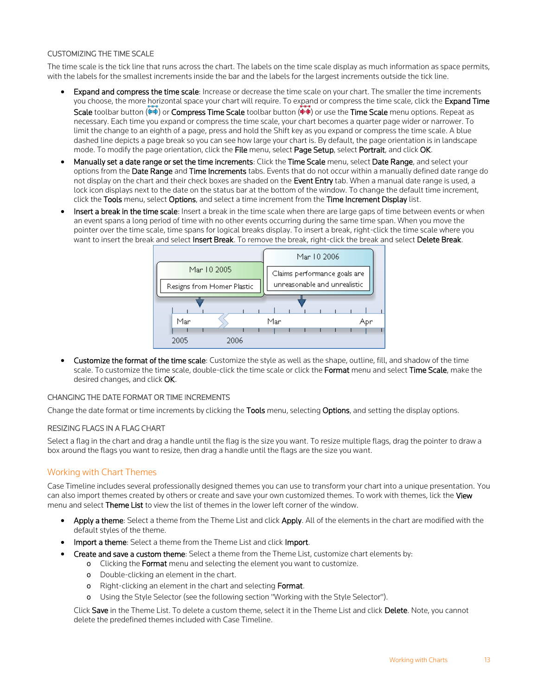#### <span id="page-17-0"></span>CUSTOMIZING THE TIME SCALE

The time scale is the tick line that runs across the chart. The labels on the time scale display as much information as space permits, with the labels for the smallest increments inside the bar and the labels for the largest increments outside the tick line.

- Expand and compress the time scale: Increase or decrease the time scale on your chart. The smaller the time increments you choose, the more horizontal space your chart will require. To expand or compress the time scale, click the Expand Time Scale toolbar button ( $\Leftrightarrow$ ) or Compress Time Scale toolbar button ( $\Leftrightarrow$ ) or use the Time Scale menu options. Repeat as necessary. Each time you expand or compress the time scale, your chart becomes a quarter page wider or narrower. To limit the change to an eighth of a page, press and hold the Shift key as you expand or compress the time scale. A blue dashed line depicts a page break so you can see how large your chart is. By default, the page orientation is in landscape mode. To modify the page orientation, click the File menu, select Page Setup, select Portrait, and click OK.
- Manually set a date range or set the time increments: Click the Time Scale menu, select Date Range, and select your options from the Date Range and Time Increments tabs. Events that do not occur within a manually defined date range do not display on the chart and their check boxes are shaded on the Event Entry tab. When a manual date range is used, a lock icon displays next to the date on the status bar at the bottom of the window. To change the default time increment, click the Tools menu, select Options, and select a time increment from the Time Increment Display list.
- Insert a break in the time scale: Insert a break in the time scale when there are large gaps of time between events or when an event spans a long period of time with no other events occurring during the same time span. When you move the pointer over the time scale, time spans for logical breaks display. To insert a break, right-click the time scale where you want to insert the break and select Insert Break. To remove the break, right-click the break and select Delete Break.



Customize the format of the time scale: Customize the style as well as the shape, outline, fill, and shadow of the time scale. To customize the time scale, double-click the time scale or click the Format menu and select Time Scale, make the desired changes, and click OK.

#### <span id="page-17-1"></span>CHANGING THE DATE FORMAT OR TIME INCREMENTS

Change the date format or time increments by clicking the Tools menu, selecting Options, and setting the display options.

#### <span id="page-17-2"></span>RESIZING FLAGS IN A FLAG CHART

Select a flag in the chart and drag a handle until the flag is the size you want. To resize multiple flags, drag the pointer to draw a box around the flags you want to resize, then drag a handle until the flags are the size you want.

# <span id="page-17-3"></span>Working with Chart Themes

Case Timeline includes several professionally designed themes you can use to transform your chart into a unique presentation. You can also import themes created by others or create and save your own customized themes. To work with themes, lick the View menu and select Theme List to view the list of themes in the lower left corner of the window.

- Apply a theme: Select a theme from the Theme List and click Apply. All of the elements in the chart are modified with the default styles of the theme.
- Import a theme: Select a theme from the Theme List and click Import.
- Create and save a custom theme: Select a theme from the Theme List, customize chart elements by:
	- o Clicking the Format menu and selecting the element you want to customize.
	- o Double-clicking an element in the chart.
	- o Right-clicking an element in the chart and selecting Format.
	- o Using the Style Selector (see the following section "Working with the Style Selector").

Click Save in the Theme List. To delete a custom theme, select it in the Theme List and click Delete. Note, you cannot delete the predefined themes included with Case Timeline.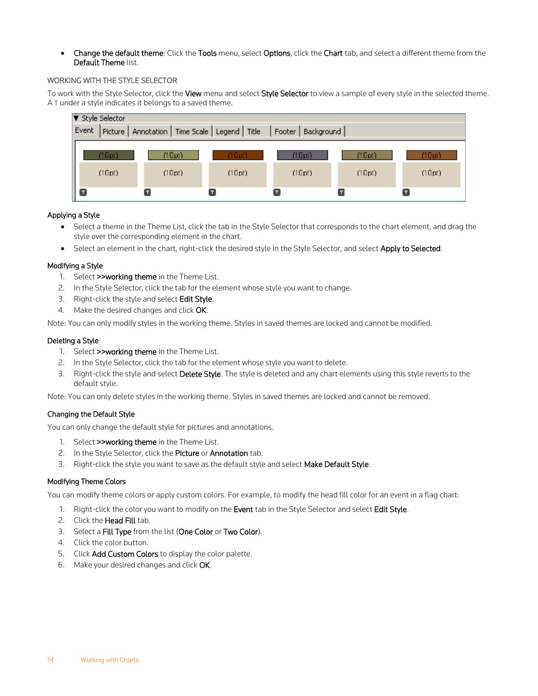• Change the default theme: Click the Tools menu, select Options, click the Chart tab, and select a different theme from the Default Theme list.

#### <span id="page-18-0"></span>WORKING WITH THE STYLE SELECTOR

To work with the Style Selector, click the View menu and select Style Selector to view a sample of every style in the selected theme. A T under a style indicates it belongs to a saved theme.



#### Applying a Style

- Select a theme in the Theme List, click the tab in the Style Selector that corresponds to the chart element, and drag the style over the corresponding element in the chart.
- Select an element in the chart, right-click the desired style in the Style Selector, and select Apply to Selected.

#### Modifying a Style

- 1. Select >>working theme in the Theme List.
- 2. In the Style Selector, click the tab for the element whose style you want to change.
- 3. Right-click the style and select Edit Style.
- 4. Make the desired changes and click OK.

Note: You can only modify styles in the working theme. Styles in saved themes are locked and cannot be modified.

#### Deleting a Style

- 1. Select >>working theme in the Theme List.
- 2. In the Style Selector, click the tab for the element whose style you want to delete.
- 3. Right-click the style and select Delete Style. The style is deleted and any chart elements using this style reverts to the default style.

Note: You can only delete styles in the working theme. Styles in saved themes are locked and cannot be removed.

#### Changing the Default Style

You can only change the default style for pictures and annotations.

- 1. Select >>working theme in the Theme List.
- 2. In the Style Selector, click the Picture or Annotation tab.
- 3. Right-click the style you want to save as the default style and select Make Default Style.

#### Modifying Theme Colors

You can modify theme colors or apply custom colors. For example, to modify the head fill color for an event in a flag chart:

- 1. Right-click the color you want to modify on the Event tab in the Style Selector and select Edit Style.
- 2. Click the Head Fill tab.
- 3. Select a Fill Type from the list (One Color or Two Color).
- 4. Click the color button.
- 5. Click **Add Custom Colors** to display the color palette.
- 6. Make your desired changes and click OK.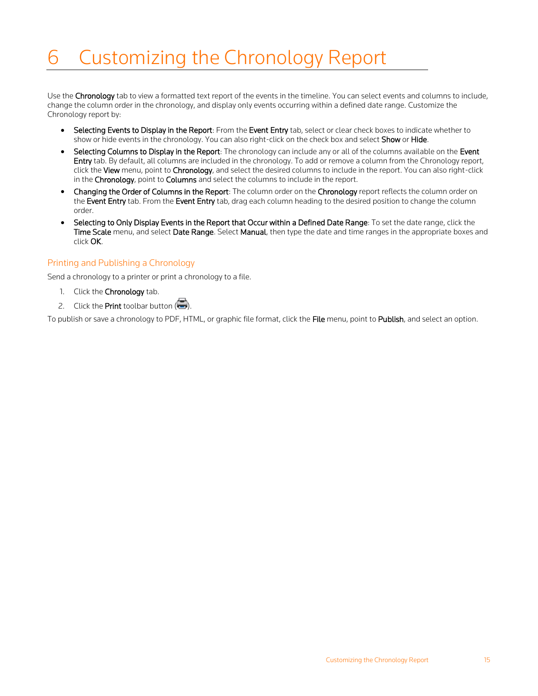# <span id="page-19-0"></span>6 Customizing the Chronology Report

Use the Chronology tab to view a formatted text report of the events in the timeline. You can select events and columns to include, change the column order in the chronology, and display only events occurring within a defined date range. Customize the Chronology report by:

- Selecting Events to Display in the Report: From the Event Entry tab, select or clear check boxes to indicate whether to show or hide events in the chronology. You can also right-click on the check box and select Show or Hide.
- Selecting Columns to Display in the Report: The chronology can include any or all of the columns available on the Event Entry tab. By default, all columns are included in the chronology. To add or remove a column from the Chronology report, click the View menu, point to Chronology, and select the desired columns to include in the report. You can also right-click in the Chronology, point to Columns and select the columns to include in the report.
- Changing the Order of Columns in the Report: The column order on the Chronology report reflects the column order on the Event Entry tab. From the Event Entry tab, drag each column heading to the desired position to change the column order.
- Selecting to Only Display Events in the Report that Occur within a Defined Date Range: To set the date range, click the Time Scale menu, and select Date Range. Select Manual, then type the date and time ranges in the appropriate boxes and click OK.

# <span id="page-19-1"></span>Printing and Publishing a Chronology

Send a chronology to a printer or print a chronology to a file.

- 1. Click the Chronology tab.
- 2. Click the **Print** toolbar button  $(\blacksquare)$ .

To publish or save a chronology to PDF, HTML, or graphic file format, click the File menu, point to Publish, and select an option.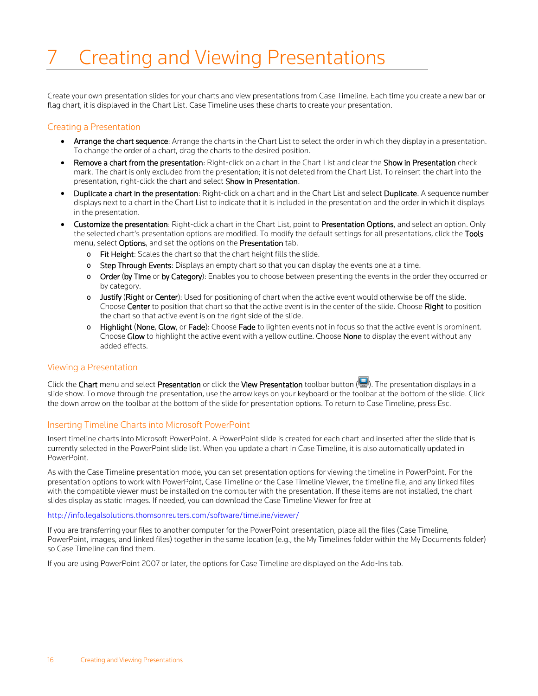# <span id="page-20-0"></span>7 Creating and Viewing Presentations

Create your own presentation slides for your charts and view presentations from Case Timeline. Each time you create a new bar or flag chart, it is displayed in the Chart List. Case Timeline uses these charts to create your presentation.

### <span id="page-20-1"></span>Creating a Presentation

- Arrange the chart sequence: Arrange the charts in the Chart List to select the order in which they display in a presentation. To change the order of a chart, drag the charts to the desired position.
- Remove a chart from the presentation: Right-click on a chart in the Chart List and clear the Show in Presentation check mark. The chart is only excluded from the presentation; it is not deleted from the Chart List. To reinsert the chart into the presentation, right-click the chart and select Show in Presentation.
- Duplicate a chart in the presentation: Right-click on a chart and in the Chart List and select Duplicate. A sequence number displays next to a chart in the Chart List to indicate that it is included in the presentation and the order in which it displays in the presentation.
- Customize the presentation: Right-click a chart in the Chart List, point to Presentation Options, and select an option. Only the selected chart's presentation options are modified. To modify the default settings for all presentations, click the Tools menu, select Options, and set the options on the Presentation tab.
	- o Fit Height: Scales the chart so that the chart height fills the slide.
	- o Step Through Events: Displays an empty chart so that you can display the events one at a time.
	- o Order (by Time or by Category): Enables you to choose between presenting the events in the order they occurred or by category.
	- o Justify (Right or Center): Used for positioning of chart when the active event would otherwise be off the slide. Choose Center to position that chart so that the active event is in the center of the slide. Choose Right to position the chart so that active event is on the right side of the slide.
	- o Highlight (None, Glow, or Fade): Choose Fade to lighten events not in focus so that the active event is prominent. Choose Glow to highlight the active event with a yellow outline. Choose None to display the event without any added effects.

### <span id="page-20-2"></span>Viewing a Presentation

Click the Chart menu and select Presentation or click the View Presentation toolbar button (**19)**. The presentation displays in a slide show. To move through the presentation, use the arrow keys on your keyboard or the toolbar at the bottom of the slide. Click the down arrow on the toolbar at the bottom of the slide for presentation options. To return to Case Timeline, press Esc.

# <span id="page-20-3"></span>Inserting Timeline Charts into Microsoft PowerPoint

Insert timeline charts into Microsoft PowerPoint. A PowerPoint slide is created for each chart and inserted after the slide that is currently selected in the PowerPoint slide list. When you update a chart in Case Timeline, it is also automatically updated in PowerPoint.

As with the Case Timeline presentation mode, you can set presentation options for viewing the timeline in PowerPoint. For the presentation options to work with PowerPoint, Case Timeline or the Case Timeline Viewer, the timeline file, and any linked files with the compatible viewer must be installed on the computer with the presentation. If these items are not installed, the chart slides display as static images. If needed, you can download the Case Timeline Viewer for free at

#### <http://info.legalsolutions.thomsonreuters.com/software/timeline/viewer/>

If you are transferring your files to another computer for the PowerPoint presentation, place all the files (Case Timeline, PowerPoint, images, and linked files) together in the same location (e.g., the My Timelines folder within the My Documents folder) so Case Timeline can find them.

If you are using PowerPoint 2007 or later, the options for Case Timeline are displayed on the Add-Ins tab.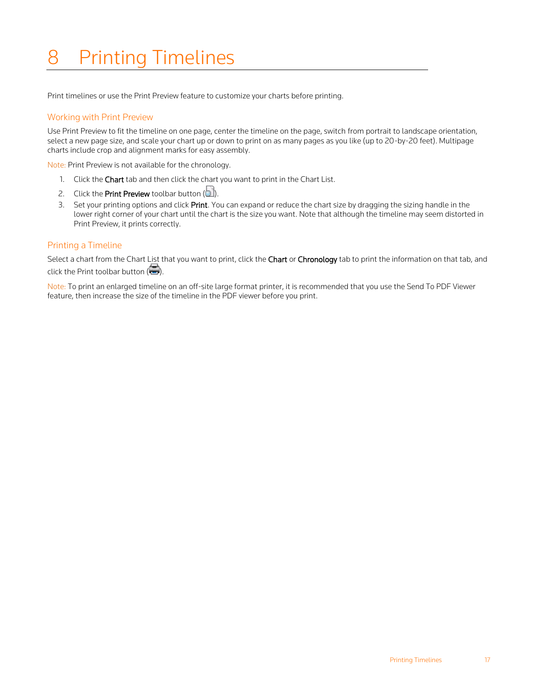# <span id="page-21-0"></span>8 Printing Timelines

Print timelines or use the Print Preview feature to customize your charts before printing.

### <span id="page-21-1"></span>Working with Print Preview

Use Print Preview to fit the timeline on one page, center the timeline on the page, switch from portrait to landscape orientation, select a new page size, and scale your chart up or down to print on as many pages as you like (up to 20-by-20 feet). Multipage charts include crop and alignment marks for easy assembly.

Note: Print Preview is not available for the chronology.

- 1. Click the Chart tab and then click the chart you want to print in the Chart List.
- 2. Click the **Print Preview** toolbar button  $(\Box)$ .
- 3. Set your printing options and click Print. You can expand or reduce the chart size by dragging the sizing handle in the lower right corner of your chart until the chart is the size you want. Note that although the timeline may seem distorted in Print Preview, it prints correctly.

#### <span id="page-21-2"></span>Printing a Timeline

Select a chart from the Chart List that you want to print, click the Chart or Chronology tab to print the information on that tab, and click the Print toolbar button  $(\Box).$ 

Note: To print an enlarged timeline on an off-site large format printer, it is recommended that you use the Send To PDF Viewer feature, then increase the size of the timeline in the PDF viewer before you print.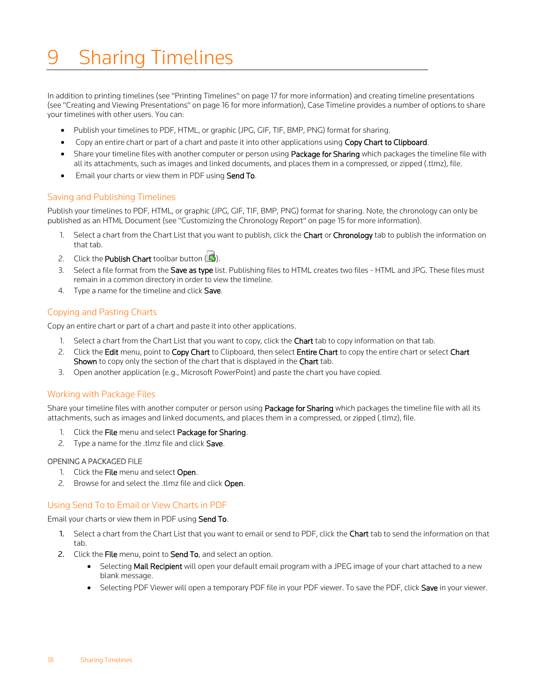# <span id="page-22-0"></span>**Sharing Timelines**

In addition to printing timelines (see "Printing Timelines" on pag[e 17](#page-21-0) for more information) and creating timeline presentations (see "Creating and Viewing Presentations" on pag[e 16](#page-20-0) for more information), Case Timeline provides a number of options to share your timelines with other users. You can:

- Publish your timelines to PDF, HTML, or graphic (JPG, GIF, TIF, BMP, PNG) format for sharing.
- Copy an entire chart or part of a chart and paste it into other applications using Copy Chart to Clipboard.
- Share your timeline files with another computer or person using Package for Sharing which packages the timeline file with all its attachments, such as images and linked documents, and places them in a compressed, or zipped (.tlmz), file.
- Email your charts or view them in PDF using Send To.

#### <span id="page-22-1"></span>Saving and Publishing Timelines

Publish your timelines to PDF, HTML, or graphic (JPG, GIF, TIF, BMP, PNG) format for sharing. Note, the chronology can only be published as an HTML Document (see "Customizing the Chronology Report" on pag[e 15](#page-19-0) for more information).

- 1. Select a chart from the Chart List that you want to publish, click the Chart or Chronology tab to publish the information on that tab.
- 2. Click the Publish Chart toolbar button  $\Box$ ).
- 3. Select a file format from the Save as type list. Publishing files to HTML creates two files HTML and JPG. These files must remain in a common directory in order to view the timeline.
- 4. Type a name for the timeline and click Save.

# <span id="page-22-2"></span>Copying and Pasting Charts

Copy an entire chart or part of a chart and paste it into other applications.

- 1. Select a chart from the Chart List that you want to copy, click the Chart tab to copy information on that tab.
- 2. Click the Edit menu, point to Copy Chart to Clipboard, then select Entire Chart to copy the entire chart or select Chart Shown to copy only the section of the chart that is displayed in the Chart tab.
- 3. Open another application (e.g., Microsoft PowerPoint) and paste the chart you have copied.

#### <span id="page-22-3"></span>Working with Package Files

Share your timeline files with another computer or person using Package for Sharing which packages the timeline file with all its attachments, such as images and linked documents, and places them in a compressed, or zipped (.tlmz), file.

- 1. Click the File menu and select Package for Sharing.
- 2. Type a name for the .tlmz file and click Save.

#### <span id="page-22-4"></span>OPENING A PACKAGED FILE

- 1. Click the File menu and select Open.
- 2. Browse for and select the .tlmz file and click Open.

#### <span id="page-22-5"></span>Using Send To to Email or View Charts in PDF

Email your charts or view them in PDF using Send To.

- 1. Select a chart from the Chart List that you want to email or send to PDF, click the Chart tab to send the information on that tab.
- 2. Click the File menu, point to Send To, and select an option.
	- Selecting Mail Recipient will open your default email program with a JPEG image of your chart attached to a new blank message.
	- Selecting PDF Viewer will open a temporary PDF file in your PDF viewer. To save the PDF, click Save in your viewer.